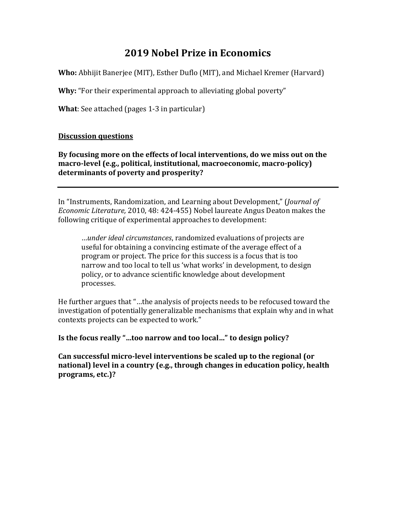## **2019 Nobel Prize in Economics**

**Who:** Abhijit Banerjee (MIT), Esther Duflo (MIT), and Michael Kremer (Harvard)

**Why:** "For their experimental approach to alleviating global poverty"

**What**: See attached (pages 1-3 in particular)

#### **Discussion questions**

**By focusing more on the effects of local interventions, do we miss out on the macro-level (e.g., political, institutional, macroeconomic, macro-policy) determinants of poverty and prosperity?** 

In "Instruments, Randomization, and Learning about Development," (*Journal of Economic Literature,* 2010, 48: 424-455) Nobel laureate Angus Deaton makes the following critique of experimental approaches to development:

…*under ideal circumstances*, randomized evaluations of projects are useful for obtaining a convincing estimate of the average effect of a program or project. The price for this success is a focus that is too narrow and too local to tell us 'what works' in development, to design policy, or to advance scientific knowledge about development processes.

He further argues that "…the analysis of projects needs to be refocused toward the investigation of potentially generalizable mechanisms that explain why and in what contexts projects can be expected to work."

**Is the focus really "…too narrow and too local…" to design policy?**

**Can successful micro-level interventions be scaled up to the regional (or national) level in a country (e.g., through changes in education policy, health programs, etc.)?**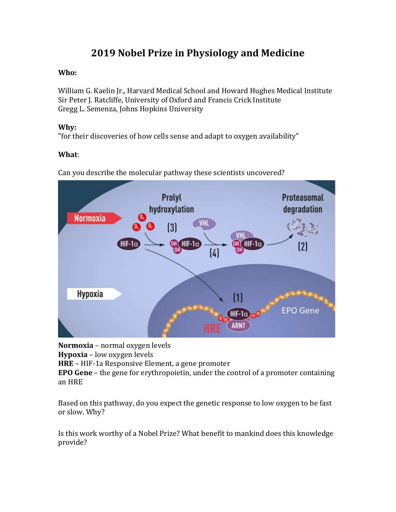# **2019 Nobel Prize in Physiology and Medicine**

### **Who:**

William G. Kaelin Jr., Harvard Medical School and Howard Hughes Medical Institute Sir Peter J. Ratcliffe, University of Oxford and Francis Crick Institute Gregg L. Semenza, Johns Hopkins University

#### **Why:**

"for their discoveries of how cells sense and adapt to oxygen availability"

### **What**:



Can you describe the molecular pathway these scientists uncovered?

**Normoxia** – normal oxygen levels

**Hypoxia** – low oxygen levels

**HRE** – HIF-1a Responsive Element, a gene promoter

**EPO Gene** – the gene for erythropoietin, under the control of a promoter containing an HRE

Based on this pathway, do you expect the genetic response to low oxygen to be fast or slow. Why?

Is this work worthy of a Nobel Prize? What benefit to mankind does this knowledge provide?